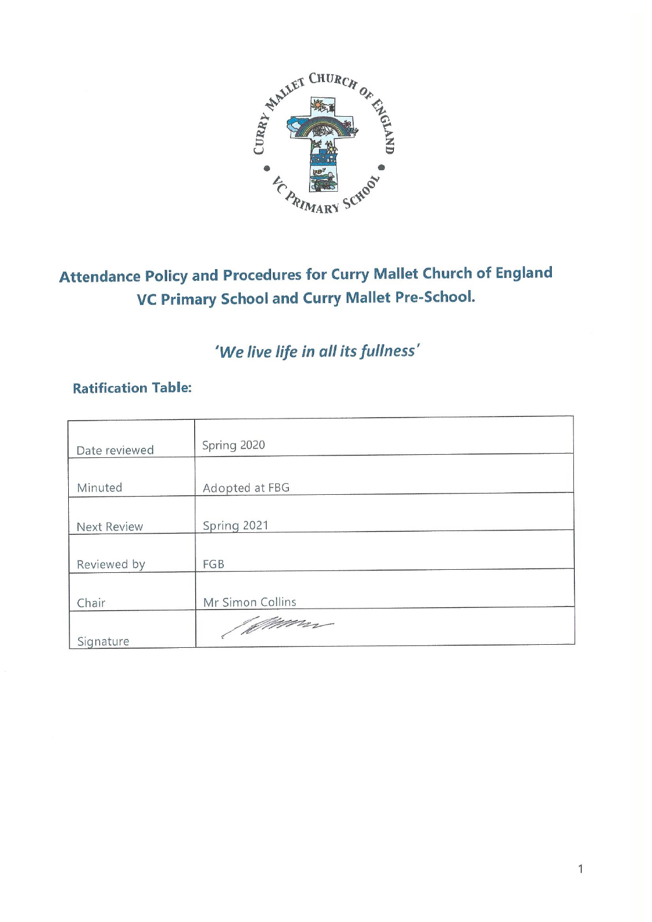

# Attendance Policy and Procedures for Curry Mallet Church of England **VC Primary School and Curry Mallet Pre-School.**

## 'We live life in all its fullness'

### **Ratification Table:**

| Date reviewed      | Spring 2020      |
|--------------------|------------------|
|                    |                  |
| Minuted            | Adopted at FBG   |
|                    |                  |
| <b>Next Review</b> | Spring 2021      |
|                    |                  |
| Reviewed by        | FGB              |
|                    |                  |
| Chair              | Mr Simon Collins |
|                    | / Mimm           |
| Signature          |                  |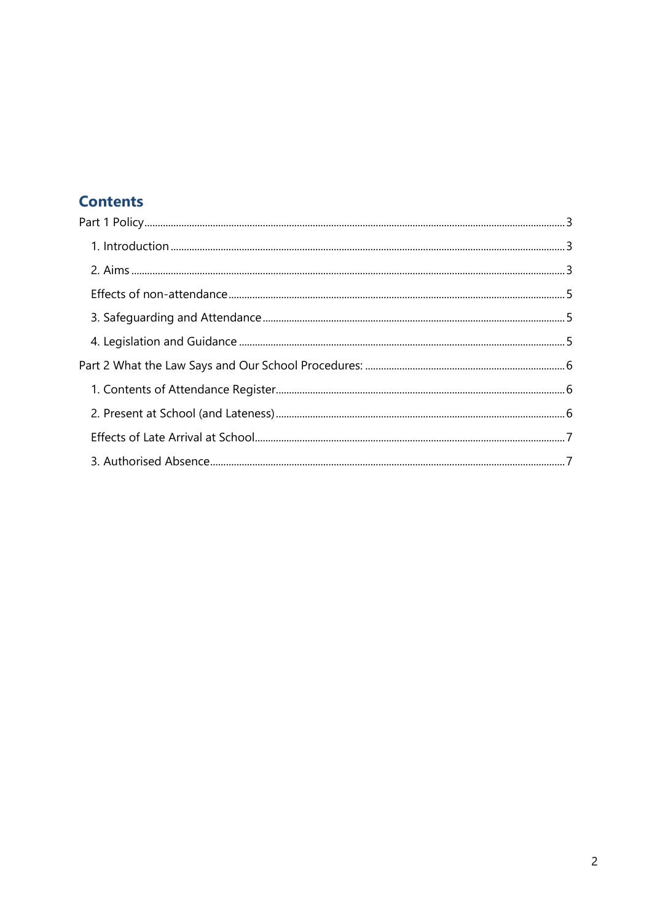## **Contents**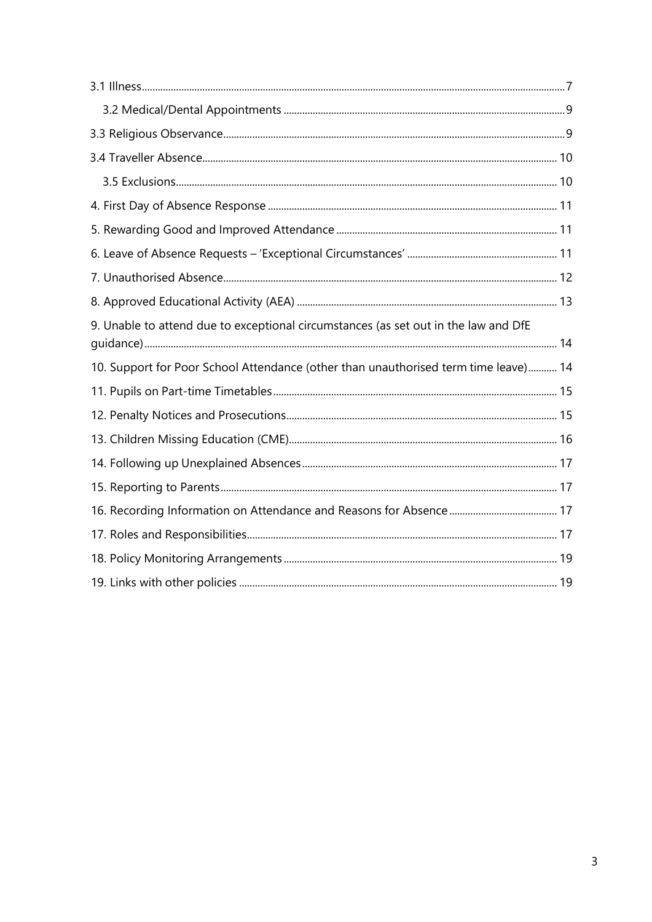| 9. Unable to attend due to exceptional circumstances (as set out in the law and DfE |  |
|-------------------------------------------------------------------------------------|--|
| 10. Support for Poor School Attendance (other than unauthorised term time leave) 14 |  |
|                                                                                     |  |
|                                                                                     |  |
|                                                                                     |  |
|                                                                                     |  |
|                                                                                     |  |
|                                                                                     |  |
|                                                                                     |  |
|                                                                                     |  |
|                                                                                     |  |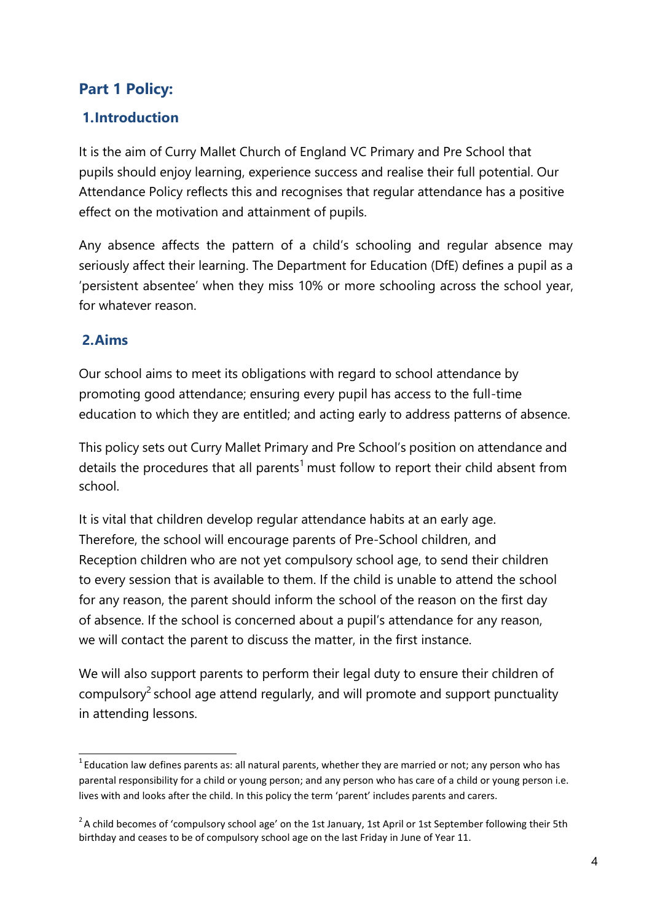### <span id="page-3-0"></span>**Part 1 Policy:**

### <span id="page-3-1"></span>**1.Introduction**

It is the aim of Curry Mallet Church of England VC Primary and Pre School that pupils should enjoy learning, experience success and realise their full potential. Our Attendance Policy reflects this and recognises that regular attendance has a positive effect on the motivation and attainment of pupils.

Any absence affects the pattern of a child's schooling and regular absence may seriously affect their learning. The Department for Education (DfE) defines a pupil as a 'persistent absentee' when they miss 10% or more schooling across the school year, for whatever reason.

### <span id="page-3-2"></span>**2.Aims**

Our school aims to meet its obligations with regard to school attendance by promoting good attendance; ensuring every pupil has access to the full-time education to which they are entitled; and acting early to address patterns of absence.

This policy sets out Curry Mallet Primary and Pre School's position on attendance and details the procedures that all parents<sup>1</sup> must follow to report their child absent from school.

It is vital that children develop regular attendance habits at an early age. Therefore, the school will encourage parents of Pre-School children, and Reception children who are not yet compulsory school age, to send their children to every session that is available to them. If the child is unable to attend the school for any reason, the parent should inform the school of the reason on the first day of absence. If the school is concerned about a pupil's attendance for any reason, we will contact the parent to discuss the matter, in the first instance.

We will also support parents to perform their legal duty to ensure their children of compulsory<sup>2</sup> school age attend regularly, and will promote and support punctuality in attending lessons.

 $1$  Education law defines parents as: all natural parents, whether they are married or not; any person who has parental responsibility for a child or young person; and any person who has care of a child or young person i.e. lives with and looks after the child. In this policy the term 'parent' includes parents and carers.

<sup>&</sup>lt;sup>2</sup>A child becomes of 'compulsory school age' on the 1st January, 1st April or 1st September following their 5th birthday and ceases to be of compulsory school age on the last Friday in June of Year 11.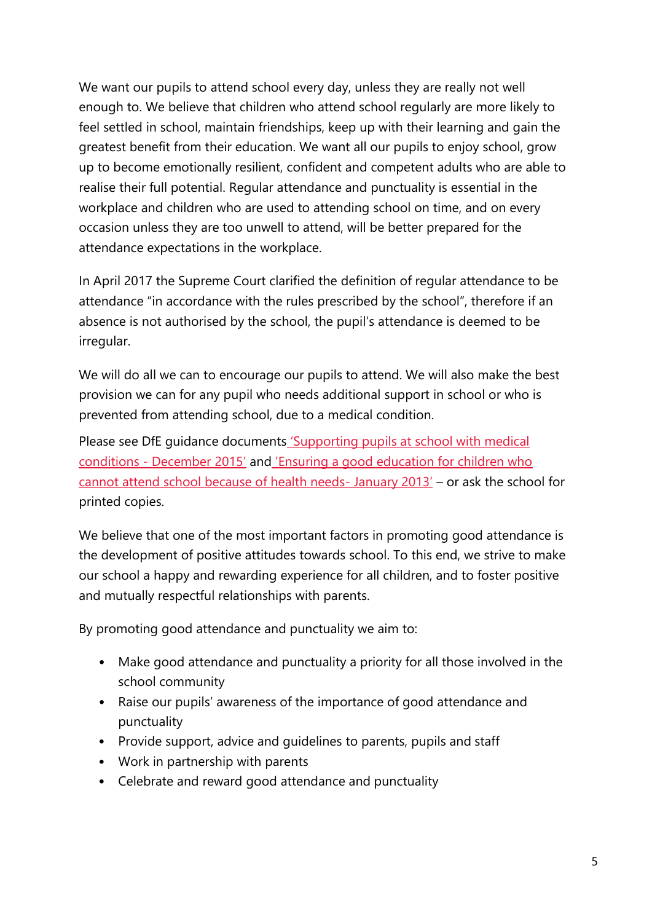<span id="page-4-0"></span>We want our pupils to attend school every day, unless they are really not well enough to. We believe that children who attend school regularly are more likely to feel settled in school, maintain friendships, keep up with their learning and gain the greatest benefit from their education. We want all our pupils to enjoy school, grow up to become emotionally resilient, confident and competent adults who are able to realise their full potential. Regular attendance and punctuality is essential in the workplace and children who are used to attending school on time, and on every occasion unless they are too unwell to attend, will be better prepared for the attendance expectations in the workplace.

In April 2017 the Supreme Court clarified the definition of regular attendance to be attendance "in accordance with the rules prescribed by the school", therefore if an absence is not authorised by the school, the pupil's attendance is deemed to be irregular.

We will do all we can to encourage our pupils to attend. We will also make the best provision we can for any pupil who needs additional support in school or who is prevented from attending school, due to a medical condition.

Please see DfE guidance documents 'Supporting pupi[ls at school with medical](https://www.gov.uk/government/publications/supporting-pupils-at-school-with-medical-conditions--3) conditions - [December 2015'](https://www.gov.uk/government/publications/supporting-pupils-at-school-with-medical-conditions--3) and ['Ensuring a good education for children who](https://www.gov.uk/government/publications/education-for-children-with-health-needs-who-cannot-attend-school) [cannot attend school because of health needs-](https://www.gov.uk/government/publications/education-for-children-with-health-needs-who-cannot-attend-school) January 2013' – or ask the school for printed copies.

We believe that one of the most important factors in promoting good attendance is the development of positive attitudes towards school. To this end, we strive to make our school a happy and rewarding experience for all children, and to foster positive and mutually respectful relationships with parents.

By promoting good attendance and punctuality we aim to:

- Make good attendance and punctuality a priority for all those involved in the school community
- Raise our pupils' awareness of the importance of good attendance and punctuality
- Provide support, advice and guidelines to parents, pupils and staff
- Work in partnership with parents
- Celebrate and reward good attendance and punctuality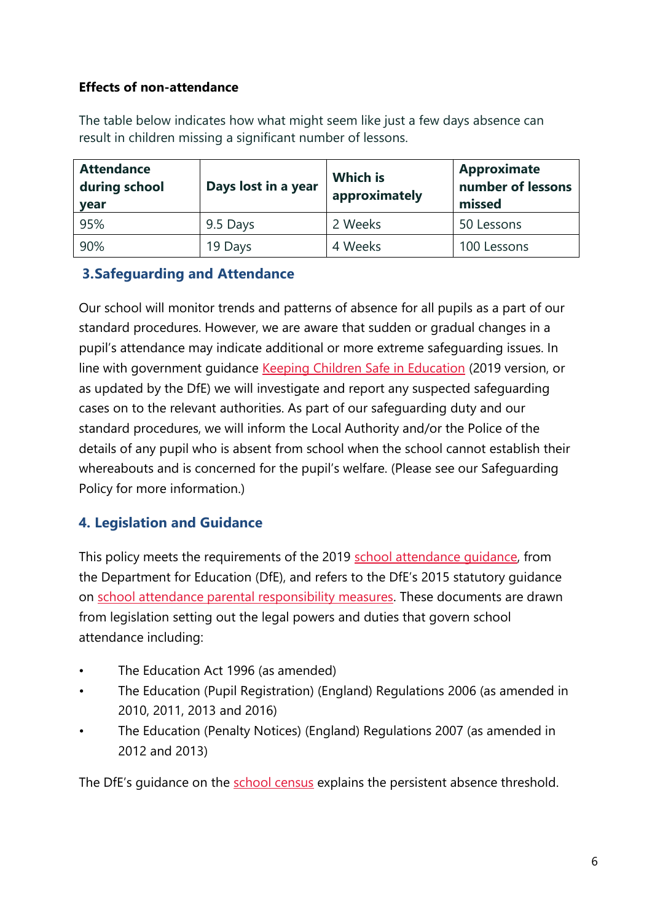### **Effects of non-attendance**

The table below indicates how what might seem like just a few days absence can result in children missing a significant number of lessons.

| <b>Attendance</b><br>during school<br><b>vear</b> | Days lost in a year | <b>Which is</b><br>approximately | <b>Approximate</b><br>number of lessons<br>missed |
|---------------------------------------------------|---------------------|----------------------------------|---------------------------------------------------|
| 95%                                               | 9.5 Days            | 2 Weeks                          | 50 Lessons                                        |
| 90%                                               | 19 Days             | 4 Weeks                          | 100 Lessons                                       |

### <span id="page-5-0"></span>**3.Safeguarding and Attendance**

Our school will monitor trends and patterns of absence for all pupils as a part of our standard procedures. However, we are aware that sudden or gradual changes in a pupil's attendance may indicate additional or more extreme safeguarding issues. In line with government guidance [Keeping Children Safe in Education](https://www.gov.uk/government/publications/keeping-children-safe-in-education--2) (2019 version, or as updated by the DfE) we will investigate and report any suspected safeguarding cases on to the relevant authorities. As part of our safeguarding duty and our standard procedures, we will inform the Local Authority and/or the Police of the details of any pupil who is absent from school when the school cannot establish their whereabouts and is concerned for the pupil's welfare. (Please see our Safeguarding Policy for more information.)

### <span id="page-5-1"></span>**4. Legislation and Guidance**

This policy meets the requirements of the 2019 school attendance quidance, from the Department for Education (DfE), and refers to the DfE's 2015 statutory guidance on [school attendance parental responsibility measures. T](https://www.gov.uk/government/publications/parental-responsibility-measures-for-behaviour-and-attendance)hese documents are drawn from legislation setting out the legal powers and duties that govern school attendance including:

- The Education Act 1996 (as amended)
- The Education (Pupil Registration) (England) Regulations 2006 (as amended in 2010, 2011, 2013 and 2016)
- The Education (Penalty Notices) (England) Regulations 2007 (as amended in 2012 and 2013)

The DfE's guidance on the [school census](https://www.gov.uk/government/publications/school-census-2017-to-2018-guide-for-schools-and-las) explains the persistent absence threshold.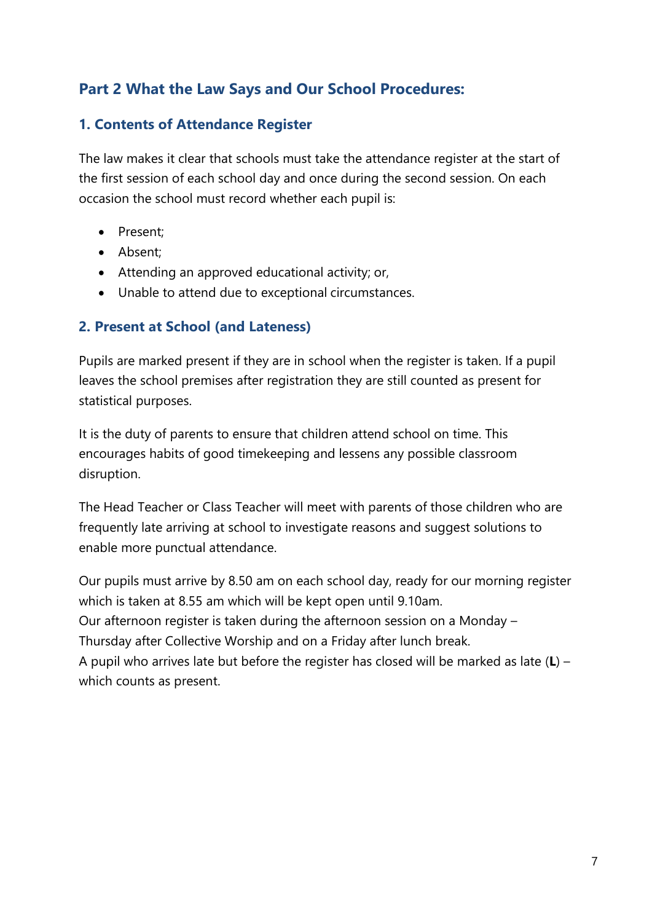### <span id="page-6-0"></span>**Part 2 What the Law Says and Our School Procedures:**

### <span id="page-6-1"></span>**1. Contents of Attendance Register**

The law makes it clear that schools must take the attendance register at the start of the first session of each school day and once during the second session. On each occasion the school must record whether each pupil is:

- Present:
- Absent;
- Attending an approved educational activity; or,
- Unable to attend due to exceptional circumstances.

#### <span id="page-6-2"></span>**2. Present at School (and Lateness)**

Pupils are marked present if they are in school when the register is taken. If a pupil leaves the school premises after registration they are still counted as present for statistical purposes.

It is the duty of parents to ensure that children attend school on time. This encourages habits of good timekeeping and lessens any possible classroom disruption.

The Head Teacher or Class Teacher will meet with parents of those children who are frequently late arriving at school to investigate reasons and suggest solutions to enable more punctual attendance.

Our pupils must arrive by 8.50 am on each school day, ready for our morning register which is taken at 8.55 am which will be kept open until 9.10am.

Our afternoon register is taken during the afternoon session on a Monday –

Thursday after Collective Worship and on a Friday after lunch break.

A pupil who arrives late but before the register has closed will be marked as late (**L**) – which counts as present.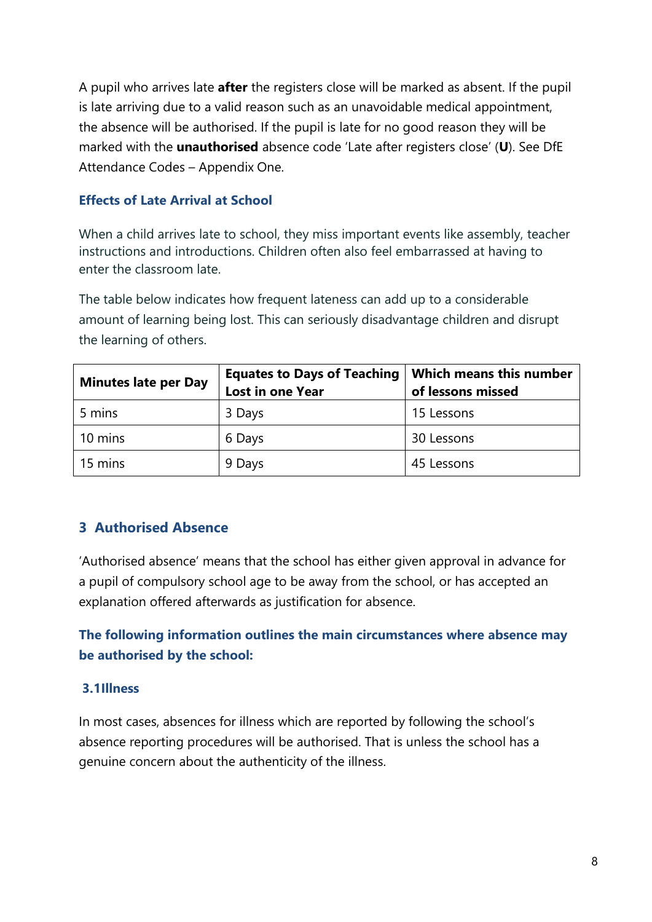A pupil who arrives late **after** the registers close will be marked as absent. If the pupil is late arriving due to a valid reason such as an unavoidable medical appointment, the absence will be authorised. If the pupil is late for no good reason they will be marked with the **unauthorised** absence code 'Late after registers close' (**U**). See DfE Attendance Codes – Appendix One.

#### <span id="page-7-0"></span>**Effects of Late Arrival at School**

When a child arrives late to school, they miss important events like assembly, teacher instructions and introductions. Children often also feel embarrassed at having to enter the classroom late.

The table below indicates how frequent lateness can add up to a considerable amount of learning being lost. This can seriously disadvantage children and disrupt the learning of others.

| <b>Minutes late per Day</b> | <b>Equates to Days of Teaching</b> | <b>Which means this number</b> |  |
|-----------------------------|------------------------------------|--------------------------------|--|
|                             | <b>Lost in one Year</b>            | of lessons missed              |  |
| 5 mins                      | 3 Days                             | 15 Lessons                     |  |
| 10 mins                     | 6 Days                             | 30 Lessons                     |  |
| 15 mins                     | 9 Days                             | 45 Lessons                     |  |

#### <span id="page-7-1"></span>**3 Authorised Absence**

'Authorised absence' means that the school has either given approval in advance for a pupil of compulsory school age to be away from the school, or has accepted an explanation offered afterwards as justification for absence.

### **The following information outlines the main circumstances where absence may be authorised by the school:**

#### <span id="page-7-2"></span>**3.1Illness**

In most cases, absences for illness which are reported by following the school's absence reporting procedures will be authorised. That is unless the school has a genuine concern about the authenticity of the illness.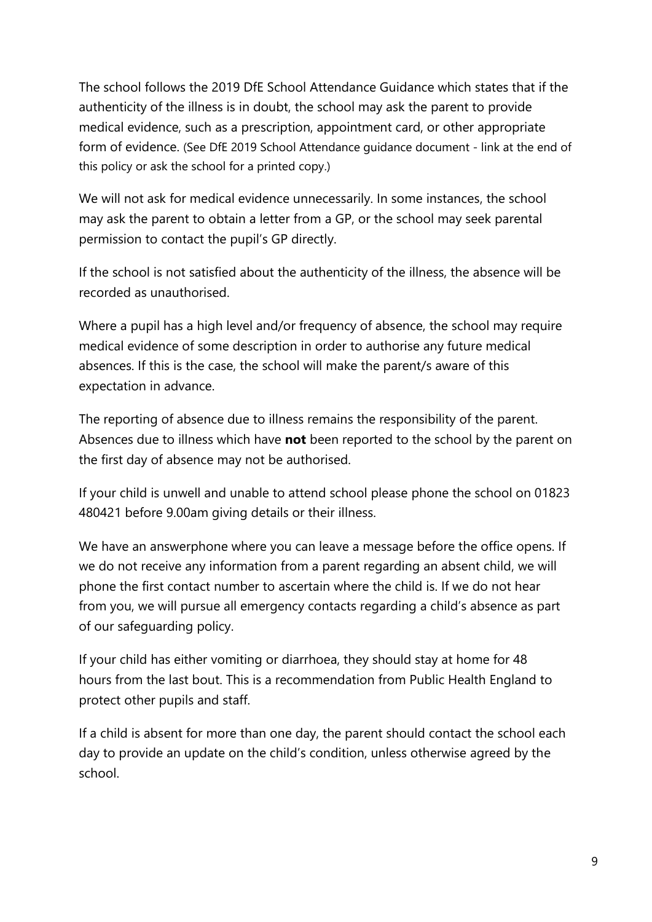The school follows the 2019 DfE School Attendance Guidance which states that if the authenticity of the illness is in doubt, the school may ask the parent to provide medical evidence, such as a prescription, appointment card, or other appropriate form of evidence. (See DfE 2019 School Attendance guidance document - link at the end of this policy or ask the school for a printed copy.)

We will not ask for medical evidence unnecessarily. In some instances, the school may ask the parent to obtain a letter from a GP, or the school may seek parental permission to contact the pupil's GP directly.

If the school is not satisfied about the authenticity of the illness, the absence will be recorded as unauthorised.

Where a pupil has a high level and/or frequency of absence, the school may require medical evidence of some description in order to authorise any future medical absences. If this is the case, the school will make the parent/s aware of this expectation in advance.

The reporting of absence due to illness remains the responsibility of the parent. Absences due to illness which have **not** been reported to the school by the parent on the first day of absence may not be authorised.

If your child is unwell and unable to attend school please phone the school on 01823 480421 before 9.00am giving details or their illness.

We have an answerphone where you can leave a message before the office opens. If we do not receive any information from a parent regarding an absent child, we will phone the first contact number to ascertain where the child is. If we do not hear from you, we will pursue all emergency contacts regarding a child's absence as part of our safeguarding policy.

If your child has either vomiting or diarrhoea, they should stay at home for 48 hours from the last bout. This is a recommendation from Public Health England to protect other pupils and staff.

If a child is absent for more than one day, the parent should contact the school each day to provide an update on the child's condition, unless otherwise agreed by the school.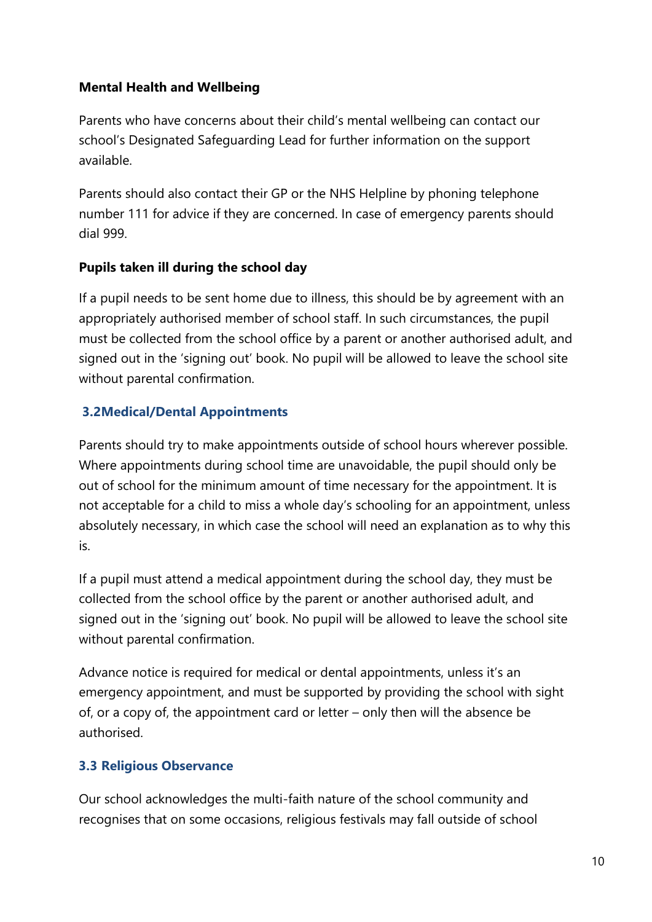#### **Mental Health and Wellbeing**

Parents who have concerns about their child's mental wellbeing can contact our school's Designated Safeguarding Lead for further information on the support available.

Parents should also contact their GP or the NHS Helpline by phoning telephone number 111 for advice if they are concerned. In case of emergency parents should dial 999.

#### **Pupils taken ill during the school day**

If a pupil needs to be sent home due to illness, this should be by agreement with an appropriately authorised member of school staff. In such circumstances, the pupil must be collected from the school office by a parent or another authorised adult, and signed out in the 'signing out' book. No pupil will be allowed to leave the school site without parental confirmation.

#### <span id="page-9-0"></span>**3.2Medical/Dental Appointments**

Parents should try to make appointments outside of school hours wherever possible. Where appointments during school time are unavoidable, the pupil should only be out of school for the minimum amount of time necessary for the appointment. It is not acceptable for a child to miss a whole day's schooling for an appointment, unless absolutely necessary, in which case the school will need an explanation as to why this is.

If a pupil must attend a medical appointment during the school day, they must be collected from the school office by the parent or another authorised adult, and signed out in the 'signing out' book. No pupil will be allowed to leave the school site without parental confirmation.

Advance notice is required for medical or dental appointments, unless it's an emergency appointment, and must be supported by providing the school with sight of, or a copy of, the appointment card or letter – only then will the absence be authorised.

#### <span id="page-9-1"></span>**3.3 Religious Observance**

Our school acknowledges the multi-faith nature of the school community and recognises that on some occasions, religious festivals may fall outside of school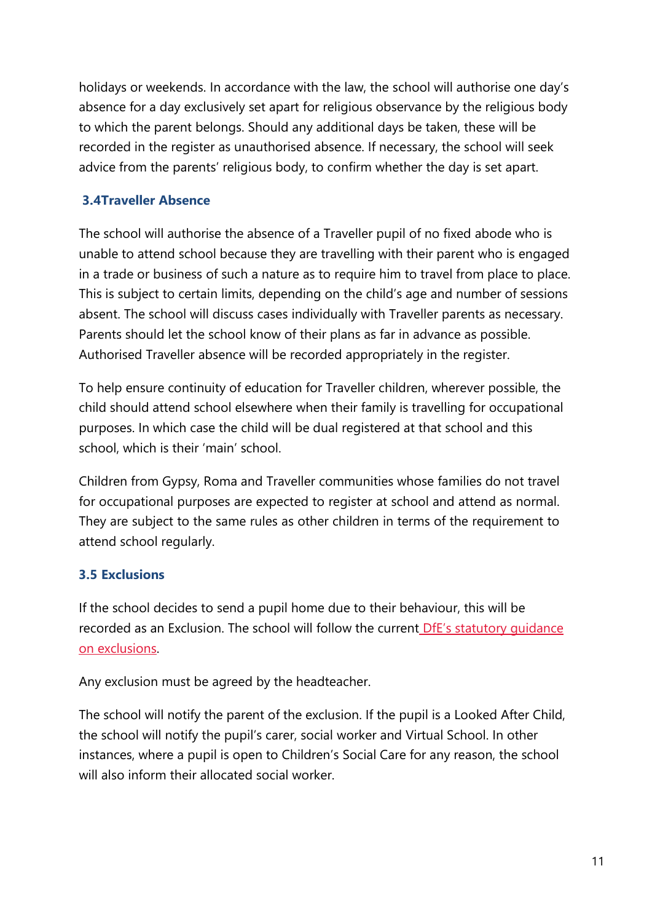holidays or weekends. In accordance with the law, the school will authorise one day's absence for a day exclusively set apart for religious observance by the religious body to which the parent belongs. Should any additional days be taken, these will be recorded in the register as unauthorised absence. If necessary, the school will seek advice from the parents' religious body, to confirm whether the day is set apart.

### <span id="page-10-0"></span>**3.4Traveller Absence**

The school will authorise the absence of a Traveller pupil of no fixed abode who is unable to attend school because they are travelling with their parent who is engaged in a trade or business of such a nature as to require him to travel from place to place. This is subject to certain limits, depending on the child's age and number of sessions absent. The school will discuss cases individually with Traveller parents as necessary. Parents should let the school know of their plans as far in advance as possible. Authorised Traveller absence will be recorded appropriately in the register.

To help ensure continuity of education for Traveller children, wherever possible, the child should attend school elsewhere when their family is travelling for occupational purposes. In which case the child will be dual registered at that school and this school, which is their 'main' school.

Children from Gypsy, Roma and Traveller communities whose families do not travel for occupational purposes are expected to register at school and attend as normal. They are subject to the same rules as other children in terms of the requirement to attend school regularly.

#### <span id="page-10-1"></span>**3.5 Exclusions**

If the school decides to send a pupil home due to their behaviour, this will be recorded as an Exclusion. The school will follow the current DfE's statutory quidance [on exclusions.](https://www.gov.uk/government/publications/school-exclusion)

Any exclusion must be agreed by the headteacher.

The school will notify the parent of the exclusion. If the pupil is a Looked After Child, the school will notify the pupil's carer, social worker and Virtual School. In other instances, where a pupil is open to Children's Social Care for any reason, the school will also inform their allocated social worker.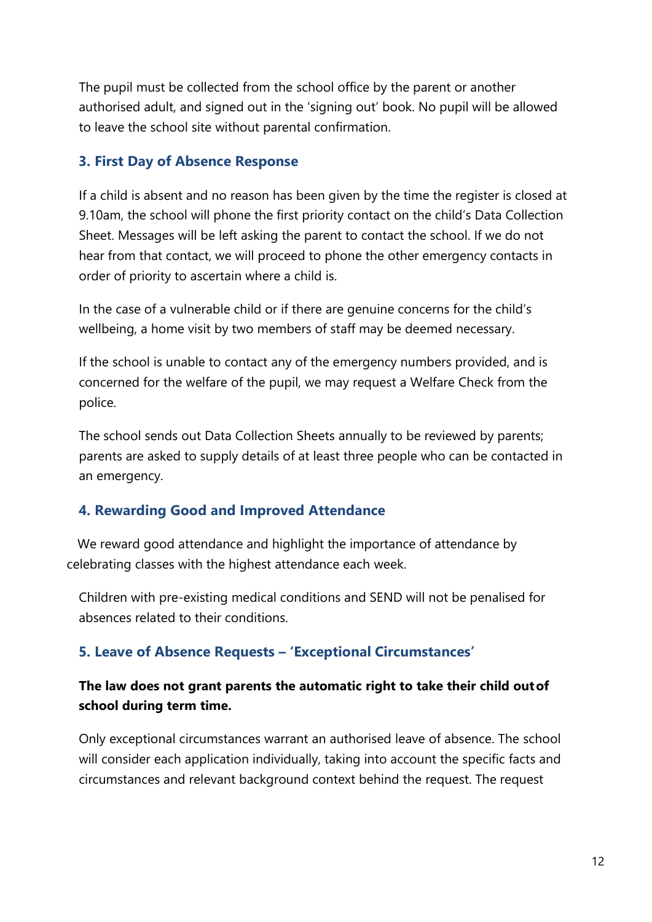The pupil must be collected from the school office by the parent or another authorised adult, and signed out in the 'signing out' book. No pupil will be allowed to leave the school site without parental confirmation.

### <span id="page-11-0"></span>**3. First Day of Absence Response**

If a child is absent and no reason has been given by the time the register is closed at 9.10am, the school will phone the first priority contact on the child's Data Collection Sheet. Messages will be left asking the parent to contact the school. If we do not hear from that contact, we will proceed to phone the other emergency contacts in order of priority to ascertain where a child is.

In the case of a vulnerable child or if there are genuine concerns for the child's wellbeing, a home visit by two members of staff may be deemed necessary.

If the school is unable to contact any of the emergency numbers provided, and is concerned for the welfare of the pupil, we may request a Welfare Check from the police.

The school sends out Data Collection Sheets annually to be reviewed by parents; parents are asked to supply details of at least three people who can be contacted in an emergency.

### <span id="page-11-1"></span>**4. Rewarding Good and Improved Attendance**

 We reward good attendance and highlight the importance of attendance by celebrating classes with the highest attendance each week.

Children with pre-existing medical conditions and SEND will not be penalised for absences related to their conditions.

### <span id="page-11-2"></span>**5. Leave of Absence Requests – 'Exceptional Circumstances'**

### **The law does not grant parents the automatic right to take their child outof school during term time.**

Only exceptional circumstances warrant an authorised leave of absence. The school will consider each application individually, taking into account the specific facts and circumstances and relevant background context behind the request. The request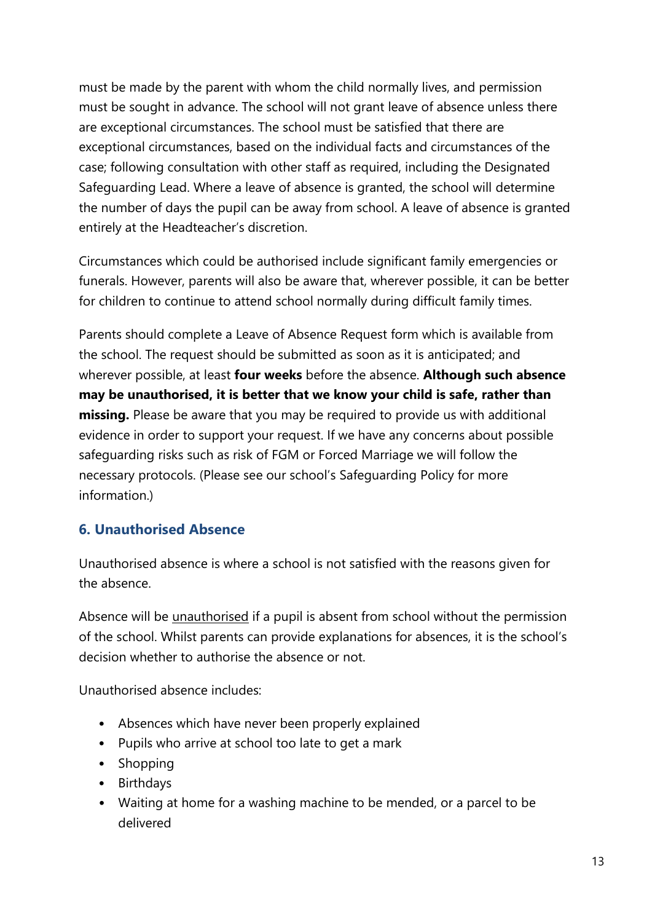must be made by the parent with whom the child normally lives, and permission must be sought in advance. The school will not grant leave of absence unless there are exceptional circumstances. The school must be satisfied that there are exceptional circumstances, based on the individual facts and circumstances of the case; following consultation with other staff as required, including the Designated Safeguarding Lead. Where a leave of absence is granted, the school will determine the number of days the pupil can be away from school. A leave of absence is granted entirely at the Headteacher's discretion.

Circumstances which could be authorised include significant family emergencies or funerals. However, parents will also be aware that, wherever possible, it can be better for children to continue to attend school normally during difficult family times.

Parents should complete a Leave of Absence Request form which is available from the school. The request should be submitted as soon as it is anticipated; and wherever possible, at least **four weeks** before the absence. **Although such absence may be unauthorised, it is better that we know your child is safe, rather than missing.** Please be aware that you may be required to provide us with additional evidence in order to support your request. If we have any concerns about possible safeguarding risks such as risk of FGM or Forced Marriage we will follow the necessary protocols. (Please see our school's Safeguarding Policy for more information.)

### <span id="page-12-0"></span>**6. Unauthorised Absence**

Unauthorised absence is where a school is not satisfied with the reasons given for the absence.

Absence will be unauthorised if a pupil is absent from school without the permission of the school. Whilst parents can provide explanations for absences, it is the school's decision whether to authorise the absence or not.

Unauthorised absence includes:

- Absences which have never been properly explained
- Pupils who arrive at school too late to get a mark
- Shopping
- Birthdays
- Waiting at home for a washing machine to be mended, or a parcel to be delivered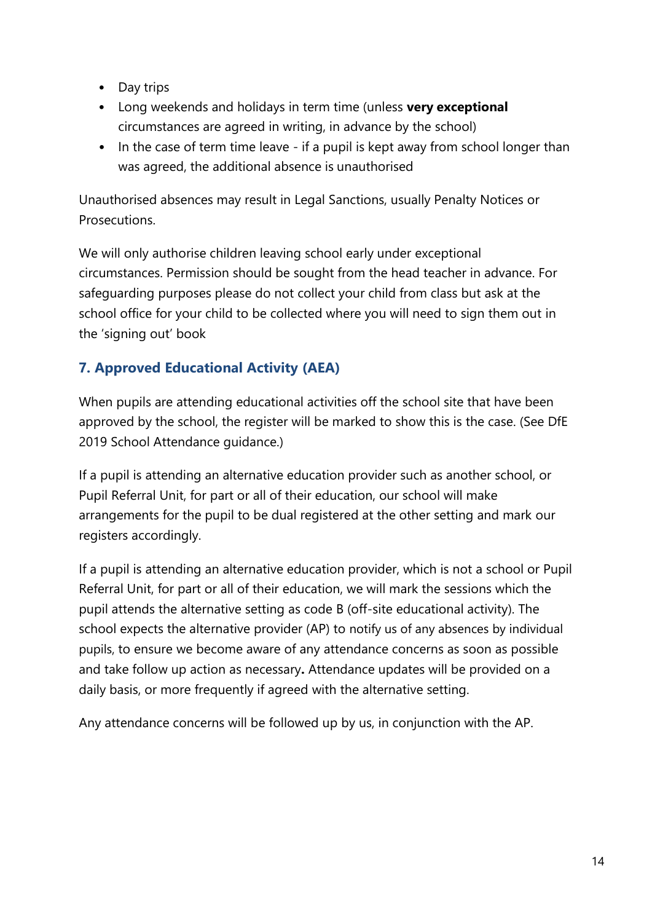- Day trips
- Long weekends and holidays in term time (unless **very exceptional** circumstances are agreed in writing, in advance by the school)
- In the case of term time leave if a pupil is kept away from school longer than was agreed, the additional absence is unauthorised

Unauthorised absences may result in Legal Sanctions, usually Penalty Notices or **Prosecutions** 

We will only authorise children leaving school early under exceptional circumstances. Permission should be sought from the head teacher in advance. For safeguarding purposes please do not collect your child from class but ask at the school office for your child to be collected where you will need to sign them out in the 'signing out' book

### <span id="page-13-0"></span>**7. Approved Educational Activity (AEA)**

When pupils are attending educational activities off the school site that have been approved by the school, the register will be marked to show this is the case. (See DfE 2019 School Attendance guidance.)

If a pupil is attending an alternative education provider such as another school, or Pupil Referral Unit, for part or all of their education, our school will make arrangements for the pupil to be dual registered at the other setting and mark our registers accordingly.

If a pupil is attending an alternative education provider, which is not a school or Pupil Referral Unit, for part or all of their education, we will mark the sessions which the pupil attends the alternative setting as code B (off-site educational activity). The school expects the alternative provider (AP) to notify us of any absences by individual pupils, to ensure we become aware of any attendance concerns as soon as possible and take follow up action as necessary**.** Attendance updates will be provided on a daily basis, or more frequently if agreed with the alternative setting.

Any attendance concerns will be followed up by us, in conjunction with the AP.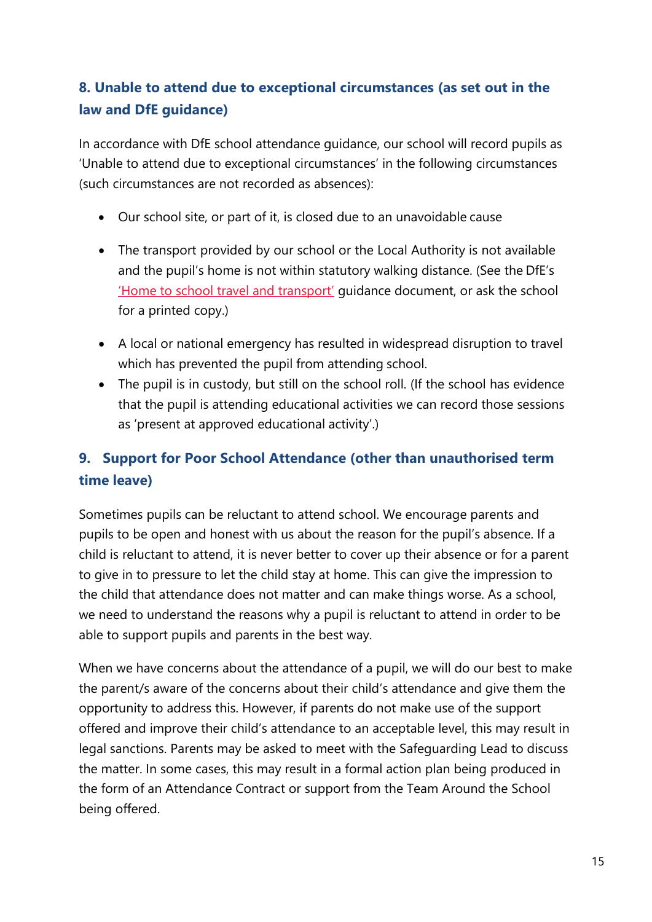### <span id="page-14-0"></span>**8. Unable to attend due to exceptional circumstances (as set out in the law and DfE guidance)**

In accordance with DfE school attendance guidance, our school will record pupils as 'Unable to attend due to exceptional circumstances' in the following circumstances (such circumstances are not recorded as absences):

- Our school site, or part of it, is closed due to an unavoidable cause
- The transport provided by our school or the Local Authority is not available and the pupil's home is not within statutory walking distance. (See the DfE's ['Home to school travel and transport'](https://www.gov.uk/government/publications/home-to-school-travel-and-transport-guidance) guidance document, or ask the school for a printed copy.)
- A local or national emergency has resulted in widespread disruption to travel which has prevented the pupil from attending school.
- The pupil is in custody, but still on the school roll. (If the school has evidence that the pupil is attending educational activities we can record those sessions as 'present at approved educational activity'.)

## <span id="page-14-1"></span>**9. Support for Poor School Attendance (other than unauthorised term time leave)**

Sometimes pupils can be reluctant to attend school. We encourage parents and pupils to be open and honest with us about the reason for the pupil's absence. If a child is reluctant to attend, it is never better to cover up their absence or for a parent to give in to pressure to let the child stay at home. This can give the impression to the child that attendance does not matter and can make things worse. As a school, we need to understand the reasons why a pupil is reluctant to attend in order to be able to support pupils and parents in the best way.

When we have concerns about the attendance of a pupil, we will do our best to make the parent/s aware of the concerns about their child's attendance and give them the opportunity to address this. However, if parents do not make use of the support offered and improve their child's attendance to an acceptable level, this may result in legal sanctions. Parents may be asked to meet with the Safeguarding Lead to discuss the matter. In some cases, this may result in a formal action plan being produced in the form of an Attendance Contract or support from the Team Around the School being offered.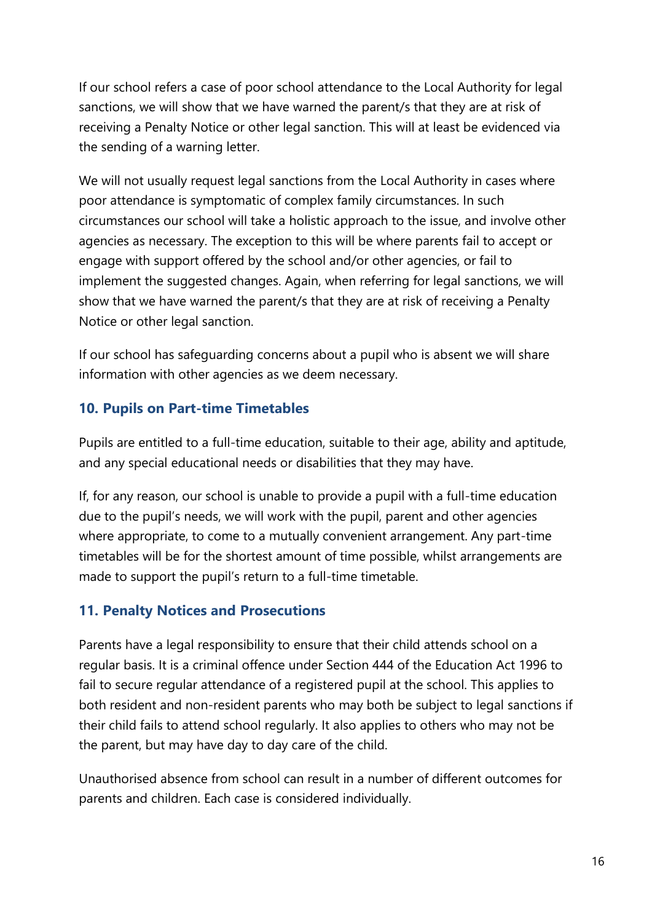If our school refers a case of poor school attendance to the Local Authority for legal sanctions, we will show that we have warned the parent/s that they are at risk of receiving a Penalty Notice or other legal sanction. This will at least be evidenced via the sending of a warning letter.

We will not usually request legal sanctions from the Local Authority in cases where poor attendance is symptomatic of complex family circumstances. In such circumstances our school will take a holistic approach to the issue, and involve other agencies as necessary. The exception to this will be where parents fail to accept or engage with support offered by the school and/or other agencies, or fail to implement the suggested changes. Again, when referring for legal sanctions, we will show that we have warned the parent/s that they are at risk of receiving a Penalty Notice or other legal sanction.

If our school has safeguarding concerns about a pupil who is absent we will share information with other agencies as we deem necessary.

### <span id="page-15-0"></span>**10. Pupils on Part-time Timetables**

Pupils are entitled to a full-time education, suitable to their age, ability and aptitude, and any special educational needs or disabilities that they may have.

If, for any reason, our school is unable to provide a pupil with a full-time education due to the pupil's needs, we will work with the pupil, parent and other agencies where appropriate, to come to a mutually convenient arrangement. Any part-time timetables will be for the shortest amount of time possible, whilst arrangements are made to support the pupil's return to a full-time timetable.

### <span id="page-15-1"></span>**11. Penalty Notices and Prosecutions**

Parents have a legal responsibility to ensure that their child attends school on a regular basis. It is a criminal offence under Section 444 of the Education Act 1996 to fail to secure regular attendance of a registered pupil at the school. This applies to both resident and non-resident parents who may both be subject to legal sanctions if their child fails to attend school regularly. It also applies to others who may not be the parent, but may have day to day care of the child.

Unauthorised absence from school can result in a number of different outcomes for parents and children. Each case is considered individually.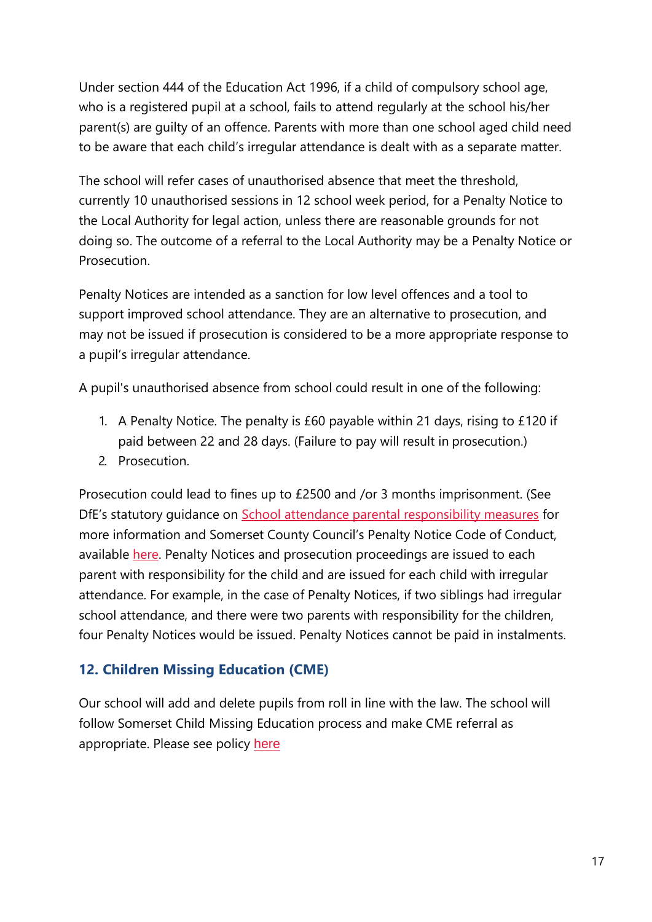Under section 444 of the Education Act 1996, if a child of compulsory school age, who is a registered pupil at a school, fails to attend regularly at the school his/her parent(s) are guilty of an offence. Parents with more than one school aged child need to be aware that each child's irregular attendance is dealt with as a separate matter.

The school will refer cases of unauthorised absence that meet the threshold, currently 10 unauthorised sessions in 12 school week period, for a Penalty Notice to the Local Authority for legal action, unless there are reasonable grounds for not doing so. The outcome of a referral to the Local Authority may be a Penalty Notice or **Prosecution** 

Penalty Notices are intended as a sanction for low level offences and a tool to support improved school attendance. They are an alternative to prosecution, and may not be issued if prosecution is considered to be a more appropriate response to a pupil's irregular attendance.

A pupil's unauthorised absence from school could result in one of the following:

- 1. A Penalty Notice. The penalty is £60 payable within 21 days, rising to £120 if paid between 22 and 28 days. (Failure to pay will result in prosecution.)
- 2. Prosecution.

Prosecution could lead to fines up to £2500 and /or 3 months imprisonment. (See DfE's statutory quidance on [School attendance parental responsibility measures](https://www.gov.uk/government/publications/parental-responsibility-measures-for-behaviour-and-attendance) for more information and Somerset County Council's Penalty Notice Code of Conduct, available [here. P](http://wwwold.somerset.gov.uk/EasySiteWeb/GatewayLink.aspx?alId=69246)enalty Notices and prosecution proceedings are issued to each parent with responsibility for the child and are issued for each child with irregular attendance. For example, in the case of Penalty Notices, if two siblings had irregular school attendance, and there were two parents with responsibility for the children, four Penalty Notices would be issued. Penalty Notices cannot be paid in instalments.

### <span id="page-16-0"></span>**12. Children Missing Education (CME)**

Our school will add and delete pupils from roll in line with the law. The school will follow Somerset Child Missing Education process and make CME referral as appropriate. Please see policy [here](http://www.somerset.gov.uk/EasySiteWeb/GatewayLink.aspx?alId=125707)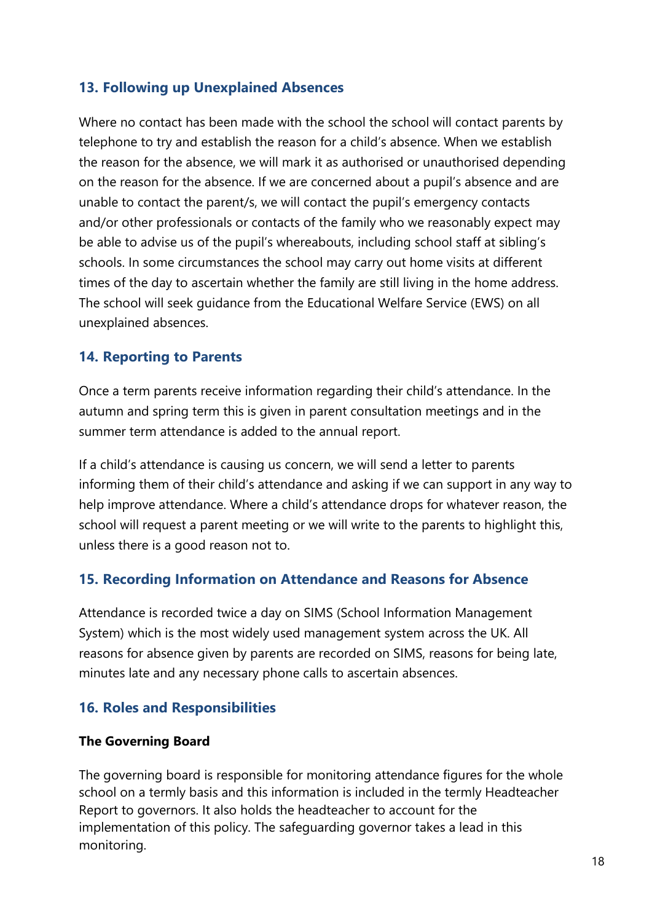### <span id="page-17-0"></span>**13. Following up Unexplained Absences**

Where no contact has been made with the school the school will contact parents by telephone to try and establish the reason for a child's absence. When we establish the reason for the absence, we will mark it as authorised or unauthorised depending on the reason for the absence. If we are concerned about a pupil's absence and are unable to contact the parent/s, we will contact the pupil's emergency contacts and/or other professionals or contacts of the family who we reasonably expect may be able to advise us of the pupil's whereabouts, including school staff at sibling's schools. In some circumstances the school may carry out home visits at different times of the day to ascertain whether the family are still living in the home address. The school will seek guidance from the Educational Welfare Service (EWS) on all unexplained absences.

### <span id="page-17-1"></span>**14. Reporting to Parents**

Once a term parents receive information regarding their child's attendance. In the autumn and spring term this is given in parent consultation meetings and in the summer term attendance is added to the annual report.

If a child's attendance is causing us concern, we will send a letter to parents informing them of their child's attendance and asking if we can support in any way to help improve attendance. Where a child's attendance drops for whatever reason, the school will request a parent meeting or we will write to the parents to highlight this, unless there is a good reason not to.

#### <span id="page-17-2"></span>**15. Recording Information on Attendance and Reasons for Absence**

Attendance is recorded twice a day on SIMS (School Information Management System) which is the most widely used management system across the UK. All reasons for absence given by parents are recorded on SIMS, reasons for being late, minutes late and any necessary phone calls to ascertain absences.

### <span id="page-17-3"></span>**16. Roles and Responsibilities**

#### **The Governing Board**

The governing board is responsible for monitoring attendance figures for the whole school on a termly basis and this information is included in the termly Headteacher Report to governors. It also holds the headteacher to account for the implementation of this policy. The safeguarding governor takes a lead in this monitoring.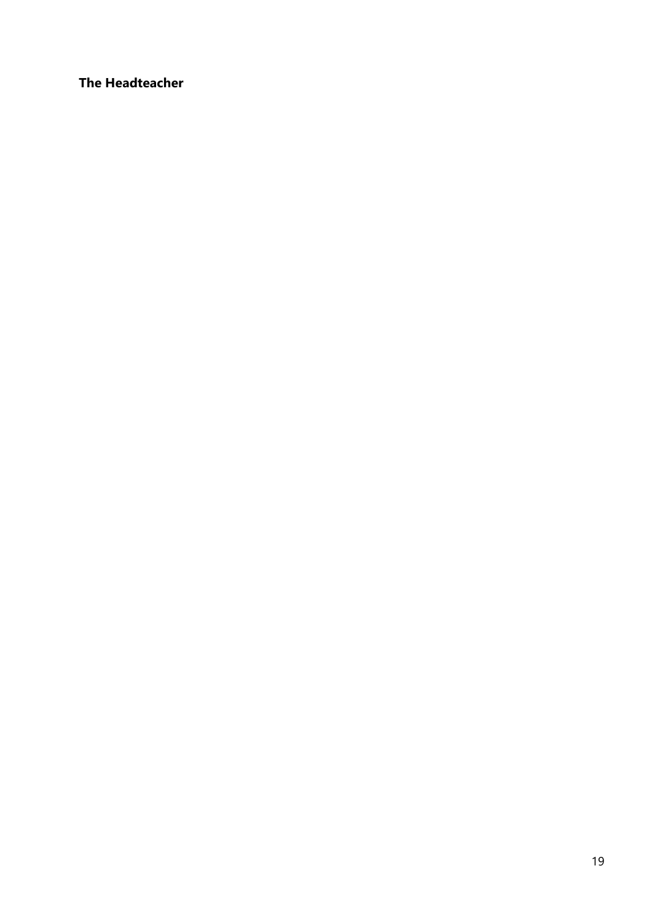**The Headteacher**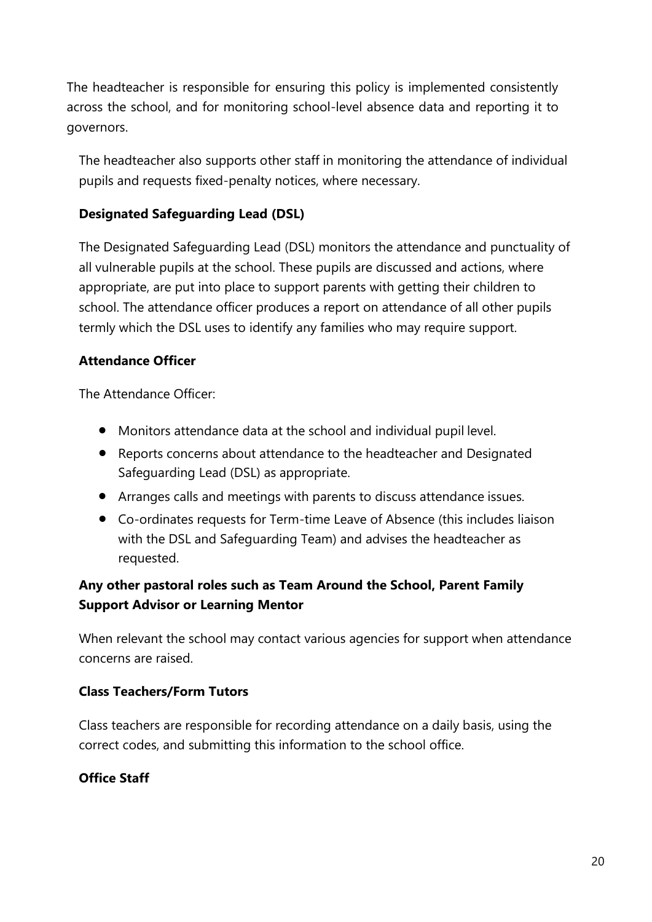The headteacher is responsible for ensuring this policy is implemented consistently across the school, and for monitoring school-level absence data and reporting it to governors.

The headteacher also supports other staff in monitoring the attendance of individual pupils and requests fixed-penalty notices, where necessary.

### **Designated Safeguarding Lead (DSL)**

The Designated Safeguarding Lead (DSL) monitors the attendance and punctuality of all vulnerable pupils at the school. These pupils are discussed and actions, where appropriate, are put into place to support parents with getting their children to school. The attendance officer produces a report on attendance of all other pupils termly which the DSL uses to identify any families who may require support.

#### **Attendance Officer**

The Attendance Officer:

- Monitors attendance data at the school and individual pupil level.
- Reports concerns about attendance to the headteacher and Designated Safeguarding Lead (DSL) as appropriate.
- Arranges calls and meetings with parents to discuss attendance issues.
- Co-ordinates requests for Term-time Leave of Absence (this includes liaison with the DSL and Safeguarding Team) and advises the headteacher as requested.

### **Any other pastoral roles such as Team Around the School, Parent Family Support Advisor or Learning Mentor**

When relevant the school may contact various agencies for support when attendance concerns are raised.

#### **Class Teachers/Form Tutors**

Class teachers are responsible for recording attendance on a daily basis, using the correct codes, and submitting this information to the school office.

### **Office Staff**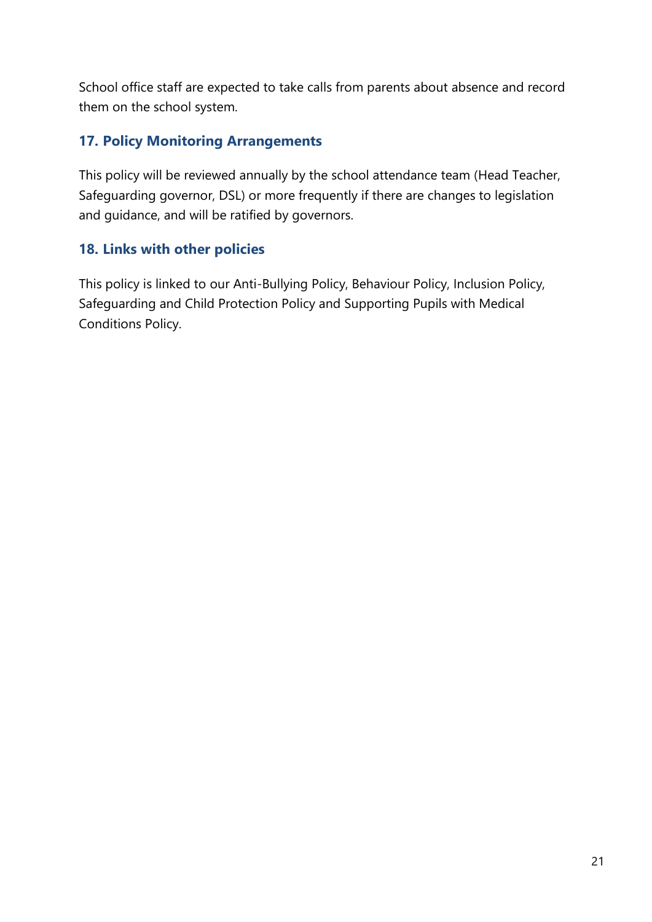School office staff are expected to take calls from parents about absence and record them on the school system.

### <span id="page-20-0"></span>**17. Policy Monitoring Arrangements**

This policy will be reviewed annually by the school attendance team (Head Teacher, Safeguarding governor, DSL) or more frequently if there are changes to legislation and guidance, and will be ratified by governors.

### <span id="page-20-1"></span>**18. Links with other policies**

This policy is linked to our Anti-Bullying Policy, Behaviour Policy, Inclusion Policy, Safeguarding and Child Protection Policy and Supporting Pupils with Medical Conditions Policy.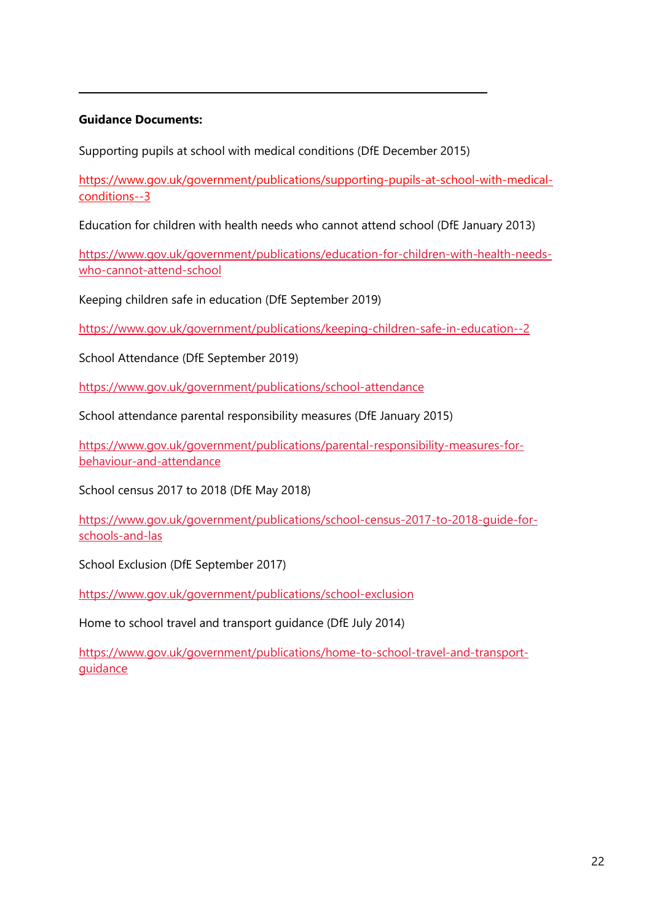#### **Guidance Documents:**

Supporting pupils at school with medical conditions (DfE December 2015)

[https://www.gov.uk/government/publications/supporting-pupils-at-school-with-medical](https://www.gov.uk/government/publications/supporting-pupils-at-school-with-medical-conditions--3)[conditions--3](https://www.gov.uk/government/publications/supporting-pupils-at-school-with-medical-conditions--3)

Education for children with health needs who cannot attend school (DfE January 2013)

[https://www.gov.uk/government/publications/education-for-children-with-health-needs](https://www.gov.uk/government/publications/education-for-children-with-health-needs-who-cannot-attend-school)[who-cannot-attend-school](https://www.gov.uk/government/publications/education-for-children-with-health-needs-who-cannot-attend-school)

Keeping children safe in education (DfE September 2019)

<https://www.gov.uk/government/publications/keeping-children-safe-in-education--2>

School Attendance (DfE September 2019)

<https://www.gov.uk/government/publications/school-attendance>

School attendance parental responsibility measures (DfE January 2015)

[https://www.gov.uk/government/publications/parental-responsibility-measures-for](https://www.gov.uk/government/publications/parental-responsibility-measures-for-behaviour-and-attendance)[behaviour-and-attendance](https://www.gov.uk/government/publications/parental-responsibility-measures-for-behaviour-and-attendance)

School census 2017 to 2018 (DfE May 2018)

[https://www.gov.uk/government/publications/school-census-2017-to-2018-guide-for](https://www.gov.uk/government/publications/school-census-2017-to-2018-guide-for-schools-and-las)[schools-and-las](https://www.gov.uk/government/publications/school-census-2017-to-2018-guide-for-schools-and-las)

School Exclusion (DfE September 2017)

<https://www.gov.uk/government/publications/school-exclusion>

Home to school travel and transport guidance (DfE July 2014)

[https://www.gov.uk/government/publications/home-to-school-travel-and-transport](https://www.gov.uk/government/publications/home-to-school-travel-and-transport-guidance)[guidance](https://www.gov.uk/government/publications/home-to-school-travel-and-transport-guidance)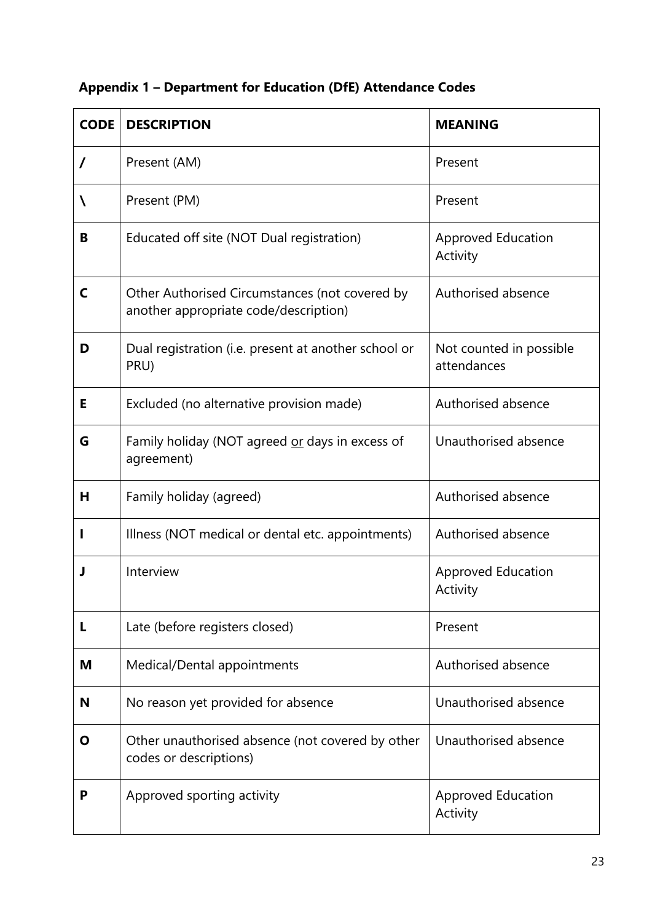|  |  |  |  | <b>Appendix 1 - Department for Education (DfE) Attendance Codes</b> |  |
|--|--|--|--|---------------------------------------------------------------------|--|
|--|--|--|--|---------------------------------------------------------------------|--|

| <b>CODE</b> | <b>DESCRIPTION</b>                                                                      | <b>MEANING</b>                         |
|-------------|-----------------------------------------------------------------------------------------|----------------------------------------|
| 7           | Present (AM)                                                                            | Present                                |
| N           | Present (PM)                                                                            | Present                                |
| В           | Educated off site (NOT Dual registration)                                               | <b>Approved Education</b><br>Activity  |
| C           | Other Authorised Circumstances (not covered by<br>another appropriate code/description) | Authorised absence                     |
| D           | Dual registration (i.e. present at another school or<br>PRU)                            | Not counted in possible<br>attendances |
| Е           | Excluded (no alternative provision made)                                                | Authorised absence                     |
| G           | Family holiday (NOT agreed or days in excess of<br>agreement)                           | Unauthorised absence                   |
| н           | Family holiday (agreed)                                                                 | Authorised absence                     |
|             | Illness (NOT medical or dental etc. appointments)                                       | Authorised absence                     |
|             | Interview                                                                               | <b>Approved Education</b><br>Activity  |
| L           | Late (before registers closed)                                                          | Present                                |
| M           | Medical/Dental appointments                                                             | Authorised absence                     |
| N           | No reason yet provided for absence                                                      | Unauthorised absence                   |
| Ο           | Other unauthorised absence (not covered by other<br>codes or descriptions)              | Unauthorised absence                   |
| P           | Approved sporting activity                                                              | <b>Approved Education</b><br>Activity  |